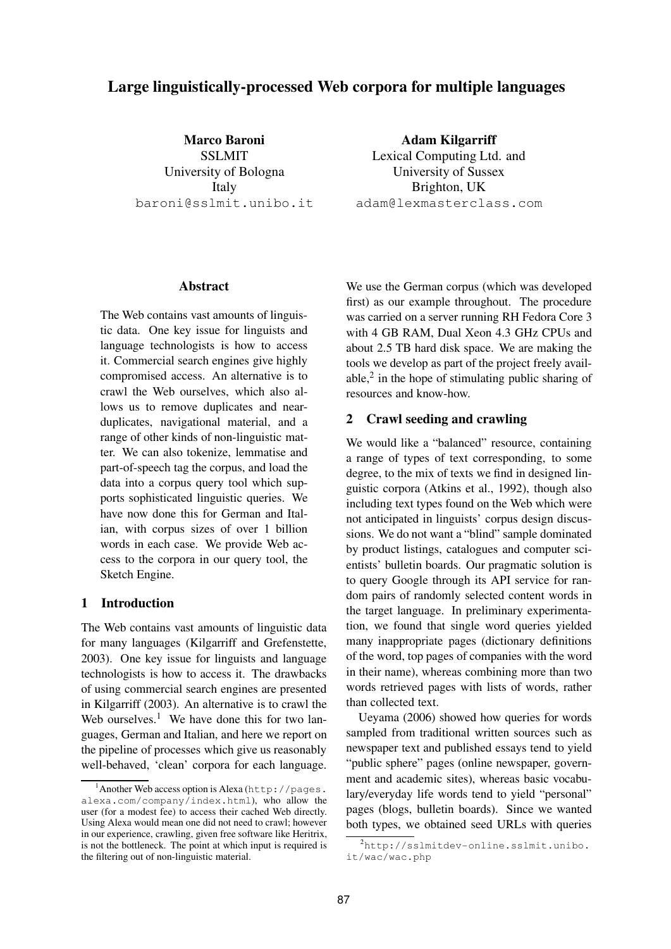# **Large linguistically-processed Web corpora for multiple languages**

**Marco Baroni** SSLMIT University of Bologna Italy baroni@sslmit.unibo.it

**Adam Kilgarriff** Lexical Computing Ltd. and University of Sussex Brighton, UK adam@lexmasterclass.com

### **Abstract**

The Web contains vast amounts of linguistic data. One key issue for linguists and language technologists is how to access it. Commercial search engines give highly compromised access. An alternative is to crawl the Web ourselves, which also allows us to remove duplicates and nearduplicates, navigational material, and a range of other kinds of non-linguistic matter. We can also tokenize, lemmatise and part-of-speech tag the corpus, and load the data into a corpus query tool which supports sophisticated linguistic queries. We have now done this for German and Italian, with corpus sizes of over 1 billion words in each case. We provide Web access to the corpora in our query tool, the Sketch Engine.

## **1 Introduction**

The Web contains vast amounts of linguistic data for many languages (Kilgarriff and Grefenstette, 2003). One key issue for linguists and language technologists is how to access it. The drawbacks of using commercial search engines are presented in Kilgarriff (2003). An alternative is to crawl the Web ourselves.<sup>1</sup> We have done this for two languages, German and Italian, and here we report on the pipeline of processes which give us reasonably well-behaved, 'clean' corpora for each language.

We use the German corpus (which was developed first) as our example throughout. The procedure was carried on a server running RH Fedora Core 3 with 4 GB RAM, Dual Xeon 4.3 GHz CPUs and about 2.5 TB hard disk space. We are making the tools we develop as part of the project freely available,<sup>2</sup> in the hope of stimulating public sharing of resources and know-how.

### **2 Crawl seeding and crawling**

We would like a "balanced" resource, containing a range of types of text corresponding, to some degree, to the mix of texts we find in designed linguistic corpora (Atkins et al., 1992), though also including text types found on the Web which were not anticipated in linguists' corpus design discussions. We do not want a "blind" sample dominated by product listings, catalogues and computer scientists' bulletin boards. Our pragmatic solution is to query Google through its API service for random pairs of randomly selected content words in the target language. In preliminary experimentation, we found that single word queries yielded many inappropriate pages (dictionary definitions of the word, top pages of companies with the word in their name), whereas combining more than two words retrieved pages with lists of words, rather than collected text.

Ueyama (2006) showed how queries for words sampled from traditional written sources such as newspaper text and published essays tend to yield "public sphere" pages (online newspaper, government and academic sites), whereas basic vocabulary/everyday life words tend to yield "personal" pages (blogs, bulletin boards). Since we wanted both types, we obtained seed URLs with queries

<sup>&</sup>lt;sup>1</sup>Another Web access option is Alexa (http://pages. alexa.com/company/index.html), who allow the user (for a modest fee) to access their cached Web directly. Using Alexa would mean one did not need to crawl; however in our experience, crawling, given free software like Heritrix, is not the bottleneck. The point at which input is required is the filtering out of non-linguistic material.

 $^{2}$ http://sslmitdev-online.sslmit.unibo. it/wac/wac.php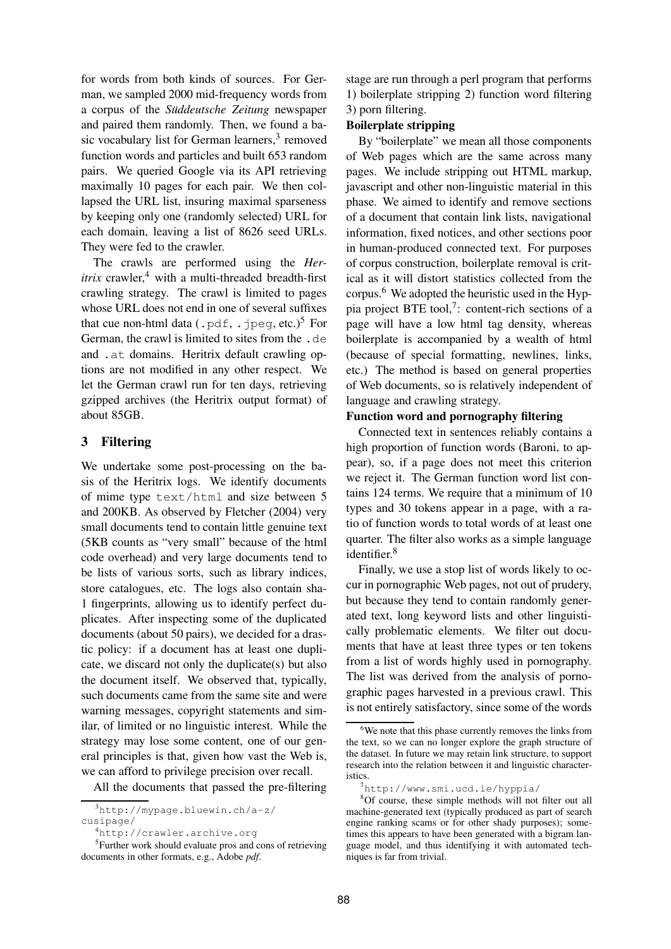for words from both kinds of sources. For German, we sampled 2000 mid-frequency words from a corpus of the *Suddeutsche Zeitung* newspaper and paired them randomly. Then, we found a basic vocabulary list for German learners,<sup>3</sup> removed function words and particles and built 653 random pairs. We queried Google via its API retrieving maximally 10 pages for each pair. We then collapsed the URL list, insuring maximal sparseness by keeping only one (randomly selected) URL for each domain, leaving a list of 8626 seed URLs. They were fed to the crawler.

The crawls are performed using the *Her* $itrix$  crawler,<sup>4</sup> with a multi-threaded breadth-first crawling strategy. The crawl is limited to pages whose URL does not end in one of several suffixes that cue non-html data  $(.pdf, .jpeg, etc.)^5$  For German, the crawl is limited to sites from the .de and .at domains. Heritrix default crawling options are not modified in any other respect. We let the German crawl run for ten days, retrieving gzipped archives (the Heritrix output format) of about 85GB.

### **3 Filtering**

We undertake some post-processing on the basis of the Heritrix logs. We identify documents of mime type text/html and size between 5 and 200KB. As observed by Fletcher (2004) very small documents tend to contain little genuine text (5KB counts as "very small" because of the html code overhead) and very large documents tend to be lists of various sorts, such as library indices, store catalogues, etc. The logs also contain sha-1 fingerprints, allowing us to identify perfect duplicates. After inspecting some of the duplicated documents (about 50 pairs), we decided for a drastic policy: if a document has at least one duplicate, we discard not only the duplicate(s) but also the document itself. We observed that, typically, such documents came from the same site and were warning messages, copyright statements and similar, of limited or no linguistic interest. While the strategy may lose some content, one of our general principles is that, given how vast the Web is, we can afford to privilege precision over recall.

All the documents that passed the pre-filtering

stage are run through a perl program that performs 1) boilerplate stripping 2) function word filtering 3) porn filtering.

#### **Boilerplate stripping**

By "boilerplate" we mean all those components of Web pages which are the same across many pages. We include stripping out HTML markup, javascript and other non-linguistic material in this phase. We aimed to identify and remove sections of a document that contain link lists, navigational information, fixed notices, and other sections poor in human-produced connected text. For purposes of corpus construction, boilerplate removal is critical as it will distort statistics collected from the corpus.<sup>6</sup> We adopted the heuristic used in the Hyppia project BTE tool,<sup>7</sup>: content-rich sections of a page will have a low html tag density, whereas boilerplate is accompanied by a wealth of html (because of special formatting, newlines, links, etc.) The method is based on general properties of Web documents, so is relatively independent of language and crawling strategy.

### **Function word and pornography filtering**

Connected text in sentences reliably contains a high proportion of function words (Baroni, to appear), so, if a page does not meet this criterion we reject it. The German function word list contains 124 terms. We require that a minimum of 10 types and 30 tokens appear in a page, with a ratio of function words to total words of at least one quarter. The filter also works as a simple language identifier.<sup>8</sup>

Finally, we use a stop list of words likely to occur in pornographic Web pages, not out of prudery, but because they tend to contain randomly generated text, long keyword lists and other linguistically problematic elements. We filter out documents that have at least three types or ten tokens from a list of words highly used in pornography. The list was derived from the analysis of pornographic pages harvested in a previous crawl. This is not entirely satisfactory, since some of the words

<sup>3</sup>http://mypage.bluewin.ch/a-z/ cusipage/

<sup>4</sup>http://crawler.archive.org

<sup>&</sup>lt;sup>5</sup>Further work should evaluate pros and cons of retrieving documents in other formats, e.g., Adobe *pdf*.

 $6$ We note that this phase currently removes the links from the text, so we can no longer explore the graph structure of the dataset. In future we may retain link structure, to support research into the relation between it and linguistic characteristics.

<sup>7</sup>http://www.smi.ucd.ie/hyppia/

<sup>8</sup>Of course, these simple methods will not filter out all machine-generated text (typically produced as part of search engine ranking scams or for other shady purposes); sometimes this appears to have been generated with a bigram language model, and thus identifying it with automated techniques is far from trivial.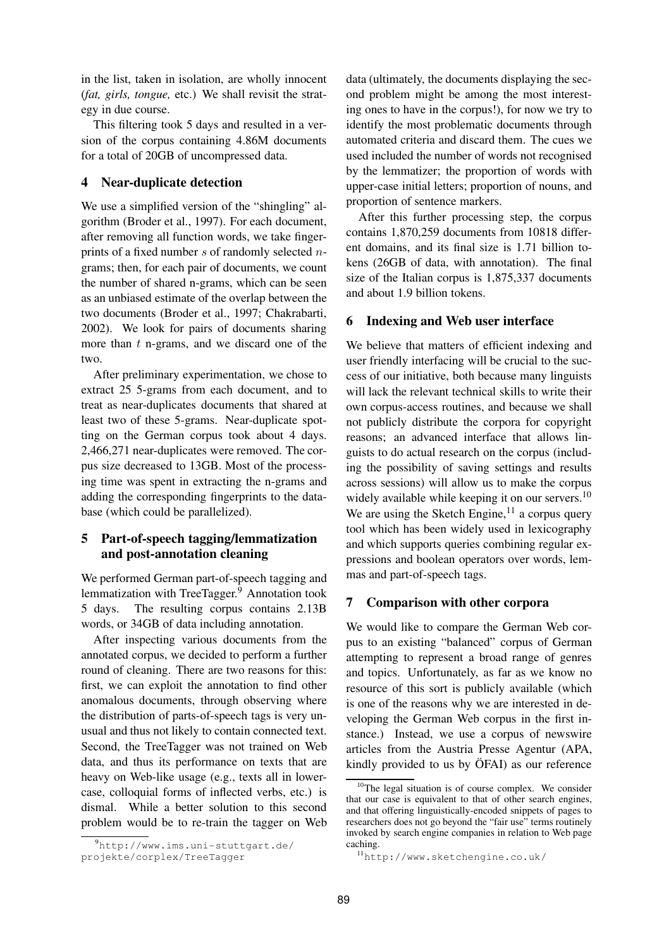in the list, taken in isolation, are wholly innocent (*fat, girls, tongue,* etc.) We shall revisit the strategy in due course.

This filtering took 5 days and resulted in a version of the corpus containing 4.86M documents for a total of 20GB of uncompressed data.

## **4 Near-duplicate detection**

We use a simplified version of the "shingling" algorithm (Broder et al., 1997). For each document, after removing all function words, we take fingerprints of a fixed number s of randomly selected ngrams; then, for each pair of documents, we count the number of shared n-grams, which can be seen as an unbiased estimate of the overlap between the two documents (Broder et al., 1997; Chakrabarti, 2002). We look for pairs of documents sharing more than  $t$  n-grams, and we discard one of the two.

After preliminary experimentation, we chose to extract 25 5-grams from each document, and to treat as near-duplicates documents that shared at least two of these 5-grams. Near-duplicate spotting on the German corpus took about 4 days. 2,466,271 near-duplicates were removed. The corpus size decreased to 13GB. Most of the processing time was spent in extracting the n-grams and adding the corresponding fingerprints to the database (which could be parallelized).

# **5 Part-of-speech tagging/lemmatization and post-annotation cleaning**

We performed German part-of-speech tagging and lemmatization with TreeTagger.<sup>9</sup> Annotation took 5 days. The resulting corpus contains 2.13B words, or 34GB of data including annotation.

After inspecting various documents from the annotated corpus, we decided to perform a further round of cleaning. There are two reasons for this: first, we can exploit the annotation to find other anomalous documents, through observing where the distribution of parts-of-speech tags is very unusual and thus not likely to contain connected text. Second, the TreeTagger was not trained on Web data, and thus its performance on texts that are heavy on Web-like usage (e.g., texts all in lowercase, colloquial forms of inflected verbs, etc.) is dismal. While a better solution to this second problem would be to re-train the tagger on Web

data (ultimately, the documents displaying the second problem might be among the most interesting ones to have in the corpus!), for now we try to identify the most problematic documents through automated criteria and discard them. The cues we used included the number of words not recognised by the lemmatizer; the proportion of words with upper-case initial letters; proportion of nouns, and proportion of sentence markers.

After this further processing step, the corpus contains 1,870,259 documents from 10818 different domains, and its final size is 1.71 billion tokens (26GB of data, with annotation). The final size of the Italian corpus is 1,875,337 documents and about 1.9 billion tokens.

### **6 Indexing and Web user interface**

We believe that matters of efficient indexing and user friendly interfacing will be crucial to the success of our initiative, both because many linguists will lack the relevant technical skills to write their own corpus-access routines, and because we shall not publicly distribute the corpora for copyright reasons; an advanced interface that allows linguists to do actual research on the corpus (including the possibility of saving settings and results across sessions) will allow us to make the corpus widely available while keeping it on our servers. $^{10}$ We are using the Sketch Engine,  $11$  a corpus query tool which has been widely used in lexicography and which supports queries combining regular expressions and boolean operators over words, lemmas and part-of-speech tags.

#### **7 Comparison with other corpora**

We would like to compare the German Web corpus to an existing "balanced" corpus of German attempting to represent a broad range of genres and topics. Unfortunately, as far as we know no resource of this sort is publicly available (which is one of the reasons why we are interested in developing the German Web corpus in the first instance.) Instead, we use a corpus of newswire articles from the Austria Presse Agentur (APA, kindly provided to us by  $\ddot{\text{OFAI}}$  as our reference

 $^{9}$ http://www.ims.uni-stuttgart.de/ projekte/corplex/TreeTagger

<sup>&</sup>lt;sup>10</sup>The legal situation is of course complex. We consider that our case is equivalent to that of other search engines, and that offering linguistically-encoded snippets of pages to researchers does not go beyond the "fair use" terms routinely invoked by search engine companies in relation to Web page caching.

<sup>11</sup>http://www.sketchengine.co.uk/